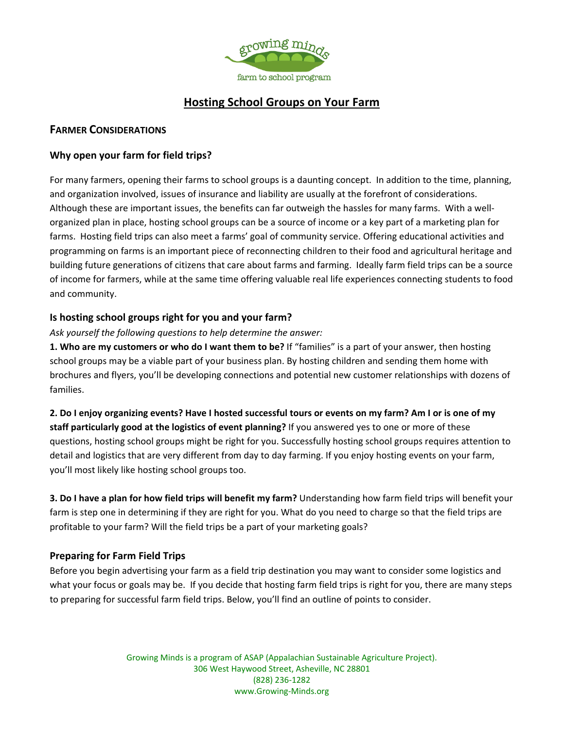

# **Hosting School Groups on Your Farm**

#### **FARMER CONSIDERATIONS**

### **Why open your farm for field trips?**

For many farmers, opening their farms to school groups is a daunting concept. In addition to the time, planning, and organization involved, issues of insurance and liability are usually at the forefront of considerations. Although these are important issues, the benefits can far outweigh the hassles for many farms. With a well‐ organized plan in place, hosting school groups can be a source of income or a key part of a marketing plan for farms. Hosting field trips can also meet a farms' goal of community service. Offering educational activities and programming on farms is an important piece of reconnecting children to their food and agricultural heritage and building future generations of citizens that care about farms and farming. Ideally farm field trips can be a source of income for farmers, while at the same time offering valuable real life experiences connecting students to food and community.

#### **Is hosting school groups right for you and your farm?**

*Ask yourself the following questions to help determine the answer:*

**1. Who are my customers or who do I want them to be?** If "families" is a part of your answer, then hosting school groups may be a viable part of your business plan. By hosting children and sending them home with brochures and flyers, you'll be developing connections and potential new customer relationships with dozens of families.

**2. Do I enjoy organizing events? Have I hosted successful tours or events on my farm? Am I or is one of my staff particularly good at the logistics of event planning?** If you answered yes to one or more of these questions, hosting school groups might be right for you. Successfully hosting school groups requires attention to detail and logistics that are very different from day to day farming. If you enjoy hosting events on your farm, you'll most likely like hosting school groups too.

**3. Do I have a plan for how field trips will benefit my farm?** Understanding how farm field trips will benefit your farm is step one in determining if they are right for you. What do you need to charge so that the field trips are profitable to your farm? Will the field trips be a part of your marketing goals?

## **Preparing for Farm Field Trips**

Before you begin advertising your farm as a field trip destination you may want to consider some logistics and what your focus or goals may be. If you decide that hosting farm field trips is right for you, there are many steps to preparing for successful farm field trips. Below, you'll find an outline of points to consider.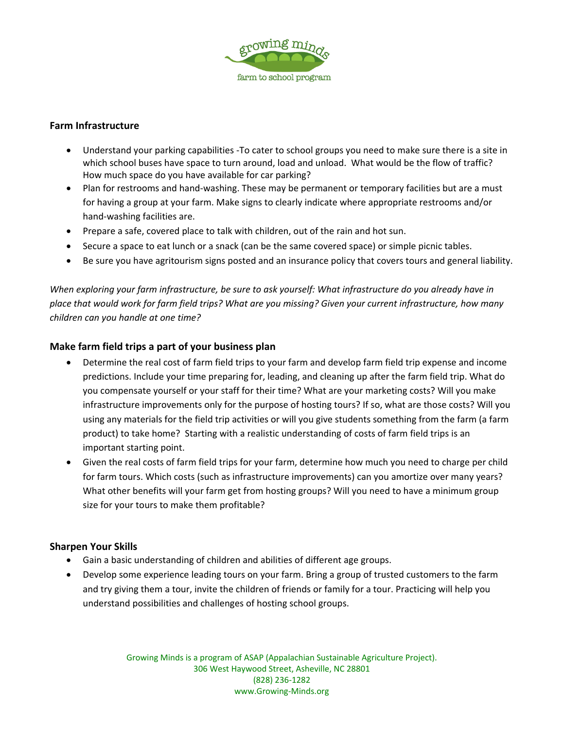

#### **Farm Infrastructure**

- Understand your parking capabilities ‐To cater to school groups you need to make sure there is a site in which school buses have space to turn around, load and unload. What would be the flow of traffic? How much space do you have available for car parking?
- Plan for restrooms and hand-washing. These may be permanent or temporary facilities but are a must for having a group at your farm. Make signs to clearly indicate where appropriate restrooms and/or hand‐washing facilities are.
- Prepare a safe, covered place to talk with children, out of the rain and hot sun.
- Secure a space to eat lunch or a snack (can be the same covered space) or simple picnic tables.
- Be sure you have agritourism signs posted and an insurance policy that covers tours and general liability.

*When exploring your farm infrastructure, be sure to ask yourself: What infrastructure do you already have in place that would work for farm field trips? What are you missing? Given your current infrastructure, how many children can you handle at one time?* 

#### **Make farm field trips a part of your business plan**

- Determine the real cost of farm field trips to your farm and develop farm field trip expense and income predictions. Include your time preparing for, leading, and cleaning up after the farm field trip. What do you compensate yourself or your staff for their time? What are your marketing costs? Will you make infrastructure improvements only for the purpose of hosting tours? If so, what are those costs? Will you using any materials for the field trip activities or will you give students something from the farm (a farm product) to take home? Starting with a realistic understanding of costs of farm field trips is an important starting point.
- Given the real costs of farm field trips for your farm, determine how much you need to charge per child for farm tours. Which costs (such as infrastructure improvements) can you amortize over many years? What other benefits will your farm get from hosting groups? Will you need to have a minimum group size for your tours to make them profitable?

#### **Sharpen Your Skills**

- Gain a basic understanding of children and abilities of different age groups.
- Develop some experience leading tours on your farm. Bring a group of trusted customers to the farm and try giving them a tour, invite the children of friends or family for a tour. Practicing will help you understand possibilities and challenges of hosting school groups.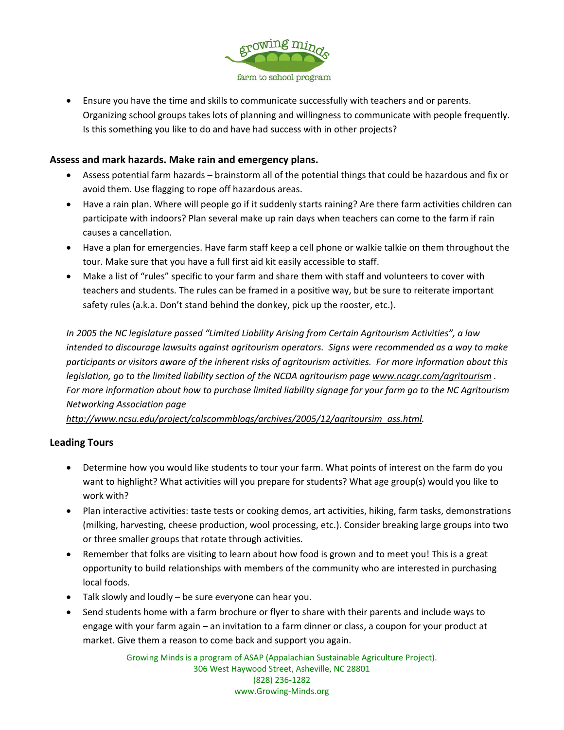

 Ensure you have the time and skills to communicate successfully with teachers and or parents. Organizing school groups takes lots of planning and willingness to communicate with people frequently. Is this something you like to do and have had success with in other projects?

### **Assess and mark hazards. Make rain and emergency plans.**

- Assess potential farm hazards brainstorm all of the potential things that could be hazardous and fix or avoid them. Use flagging to rope off hazardous areas.
- Have a rain plan. Where will people go if it suddenly starts raining? Are there farm activities children can participate with indoors? Plan several make up rain days when teachers can come to the farm if rain causes a cancellation.
- Have a plan for emergencies. Have farm staff keep a cell phone or walkie talkie on them throughout the tour. Make sure that you have a full first aid kit easily accessible to staff.
- Make a list of "rules" specific to your farm and share them with staff and volunteers to cover with teachers and students. The rules can be framed in a positive way, but be sure to reiterate important safety rules (a.k.a. Don't stand behind the donkey, pick up the rooster, etc.).

*In 2005 the NC legislature passed "Limited Liability Arising from Certain Agritourism Activities", a law intended to discourage lawsuits against agritourism operators. Signs were recommended as a way to make participants or visitors aware of the inherent risks of agritourism activities. For more information about this legislation, go to the limited liability section of the NCDA agritourism page www.ncagr.com/agritourism . For more information about how to purchase limited liability signage for your farm go to the NC Agritourism Networking Association page* 

*http://www.ncsu.edu/project/calscommblogs/archives/2005/12/agritoursim\_ass.html.* 

#### **Leading Tours**

- Determine how you would like students to tour your farm. What points of interest on the farm do you want to highlight? What activities will you prepare for students? What age group(s) would you like to work with?
- Plan interactive activities: taste tests or cooking demos, art activities, hiking, farm tasks, demonstrations (milking, harvesting, cheese production, wool processing, etc.). Consider breaking large groups into two or three smaller groups that rotate through activities.
- Remember that folks are visiting to learn about how food is grown and to meet you! This is a great opportunity to build relationships with members of the community who are interested in purchasing local foods.
- Talk slowly and loudly be sure everyone can hear you.
- Send students home with a farm brochure or flyer to share with their parents and include ways to engage with your farm again – an invitation to a farm dinner or class, a coupon for your product at market. Give them a reason to come back and support you again.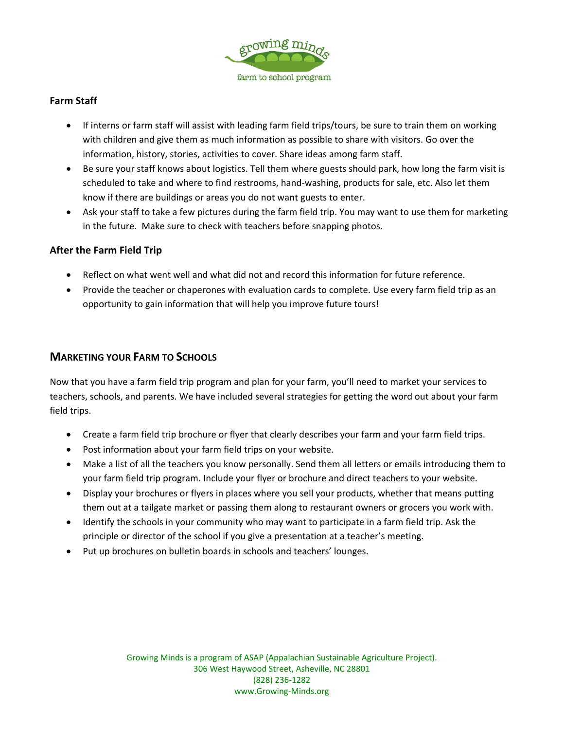

## **Farm Staff**

- If interns or farm staff will assist with leading farm field trips/tours, be sure to train them on working with children and give them as much information as possible to share with visitors. Go over the information, history, stories, activities to cover. Share ideas among farm staff.
- Be sure your staff knows about logistics. Tell them where guests should park, how long the farm visit is scheduled to take and where to find restrooms, hand‐washing, products for sale, etc. Also let them know if there are buildings or areas you do not want guests to enter.
- Ask your staff to take a few pictures during the farm field trip. You may want to use them for marketing in the future. Make sure to check with teachers before snapping photos.

#### **After the Farm Field Trip**

- Reflect on what went well and what did not and record this information for future reference.
- Provide the teacher or chaperones with evaluation cards to complete. Use every farm field trip as an opportunity to gain information that will help you improve future tours!

## **MARKETING YOUR FARM TO SCHOOLS**

Now that you have a farm field trip program and plan for your farm, you'll need to market your services to teachers, schools, and parents. We have included several strategies for getting the word out about your farm field trips.

- Create a farm field trip brochure or flyer that clearly describes your farm and your farm field trips.
- Post information about your farm field trips on your website.
- Make a list of all the teachers you know personally. Send them all letters or emails introducing them to your farm field trip program. Include your flyer or brochure and direct teachers to your website.
- Display your brochures or flyers in places where you sell your products, whether that means putting them out at a tailgate market or passing them along to restaurant owners or grocers you work with.
- Identify the schools in your community who may want to participate in a farm field trip. Ask the principle or director of the school if you give a presentation at a teacher's meeting.
- Put up brochures on bulletin boards in schools and teachers' lounges.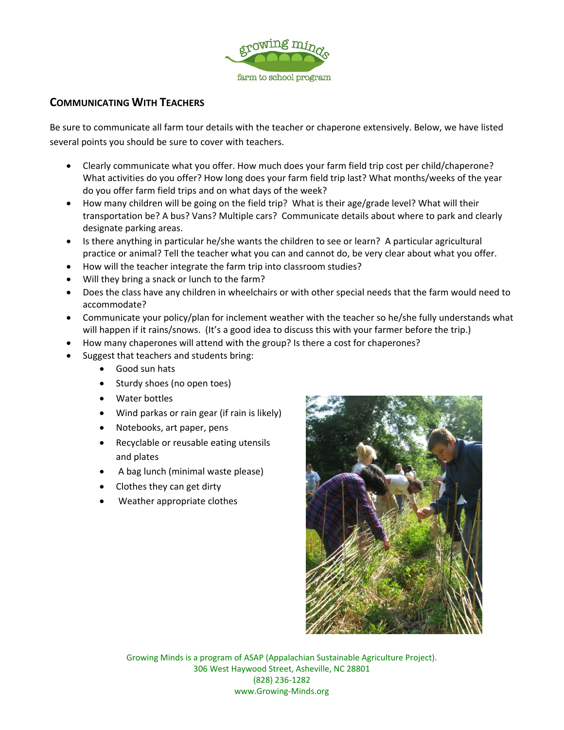

## **COMMUNICATING WITH TEACHERS**

Be sure to communicate all farm tour details with the teacher or chaperone extensively. Below, we have listed several points you should be sure to cover with teachers.

- Clearly communicate what you offer. How much does your farm field trip cost per child/chaperone? What activities do you offer? How long does your farm field trip last? What months/weeks of the year do you offer farm field trips and on what days of the week?
- How many children will be going on the field trip? What is their age/grade level? What will their transportation be? A bus? Vans? Multiple cars? Communicate details about where to park and clearly designate parking areas.
- Is there anything in particular he/she wants the children to see or learn? A particular agricultural practice or animal? Tell the teacher what you can and cannot do, be very clear about what you offer.
- How will the teacher integrate the farm trip into classroom studies?
- Will they bring a snack or lunch to the farm?
- Does the class have any children in wheelchairs or with other special needs that the farm would need to accommodate?
- Communicate your policy/plan for inclement weather with the teacher so he/she fully understands what will happen if it rains/snows. (It's a good idea to discuss this with your farmer before the trip.)
- How many chaperones will attend with the group? Is there a cost for chaperones?
- Suggest that teachers and students bring:
	- Good sun hats
	- Sturdy shoes (no open toes)
	- Water bottles
	- Wind parkas or rain gear (if rain is likely)
	- Notebooks, art paper, pens
	- Recyclable or reusable eating utensils and plates
	- A bag lunch (minimal waste please)
	- Clothes they can get dirty
	- Weather appropriate clothes